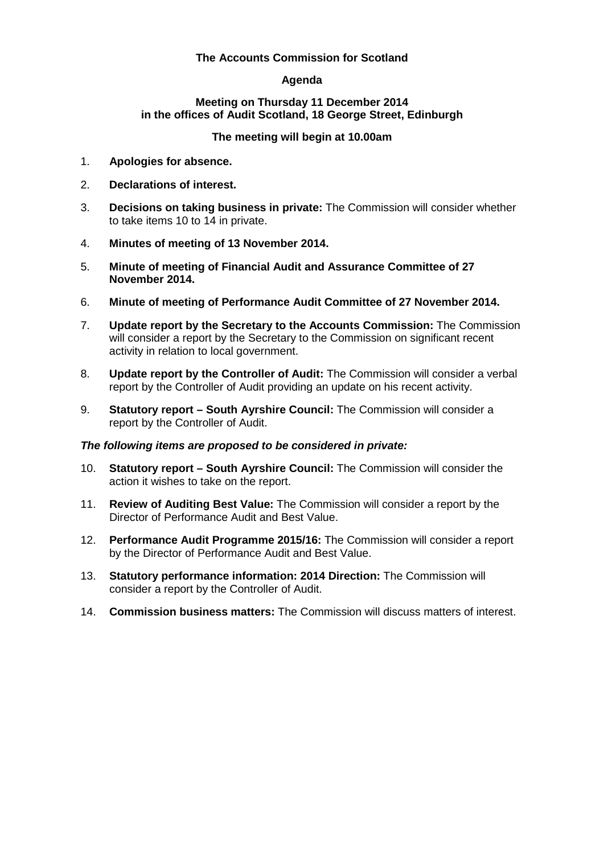# **The Accounts Commission for Scotland**

# **Agenda**

### **Meeting on Thursday 11 December 2014 in the offices of Audit Scotland, 18 George Street, Edinburgh**

# **The meeting will begin at 10.00am**

- 1. **Apologies for absence.**
- 2. **Declarations of interest.**
- 3. **Decisions on taking business in private:** The Commission will consider whether to take items 10 to 14 in private.
- 4. **Minutes of meeting of 13 November 2014.**
- 5. **Minute of meeting of Financial Audit and Assurance Committee of 27 November 2014.**
- 6. **Minute of meeting of Performance Audit Committee of 27 November 2014.**
- 7. **Update report by the Secretary to the Accounts Commission:** The Commission will consider a report by the Secretary to the Commission on significant recent activity in relation to local government.
- 8. **Update report by the Controller of Audit:** The Commission will consider a verbal report by the Controller of Audit providing an update on his recent activity.
- 9. **Statutory report – South Ayrshire Council:** The Commission will consider a report by the Controller of Audit.

### *The following items are proposed to be considered in private:*

- 10. **Statutory report – South Ayrshire Council:** The Commission will consider the action it wishes to take on the report.
- 11. **Review of Auditing Best Value:** The Commission will consider a report by the Director of Performance Audit and Best Value.
- 12. **Performance Audit Programme 2015/16:** The Commission will consider a report by the Director of Performance Audit and Best Value.
- 13. **Statutory performance information: 2014 Direction:** The Commission will consider a report by the Controller of Audit.
- 14. **Commission business matters:** The Commission will discuss matters of interest.